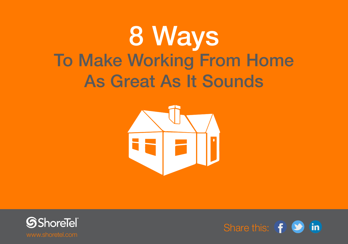# 8 Ways To Make Working From Home As Great As It Sounds





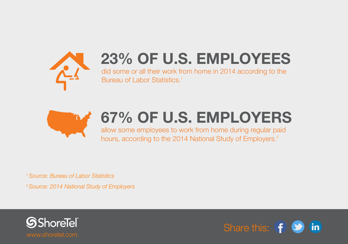

## **23% OF U.S. EMPLOYEES**

did some or all their work from home in 2014 according to the Bureau of Labor Statistics. *1*



### **67% OF U.S. EMPLOYERS**

allow some employees to work from home during regular paid hours, according to the 2014 National Study of Employers. *2*

*1 Source: [Bureau of Labor Statistics](http://www.bls.gov/news.release/pdf/atus.pdf) 2 Source: [2014 National Study of Employers](http://www.familiesandwork.org/2014-national-study-of-employers/)*



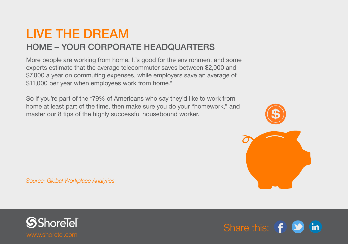#### LIVE THE DREAM HOME – YOUR CORPORATE HEADQUARTERS

More people are working from home. It's good for the environment and some experts estimate that the average telecommuter saves between \$2,000 and \$7,000 a year on commuting expenses, while employers save an average of \$11,000 per year when employees work from home.\*

So if you're part of the \*79% of Americans who say they'd like to work from home at least part of the time, then make sure you do your "homework," and master our 8 tips of the highly successful housebound worker.



*Source: [Global Workplace Analytics](https://www.shoretel.com/products/solution-deploy-cloud)*



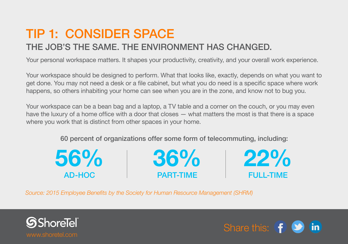### TIP 1: CONSIDER SPACE

#### THE JOB'S THE SAME. THE ENVIRONMENT HAS CHANGED.

Your personal workspace matters. It shapes your productivity, creativity, and your overall work experience.

Your workspace should be designed to perform. What that looks like, exactly, depends on what you want to get done. You may not need a desk or a file cabinet, but what you do need is a specific space where work happens, so others inhabiting your home can see when you are in the zone, and know not to bug you.

Your workspace can be a bean bag and a laptop, a TV table and a corner on the couch, or you may even have the luxury of a home office with a door that closes — what matters the most is that there is a space where you work that is distinct from other spaces in your home.

60 percent of organizations offer some form of telecommuting, including:



*Source: [2015 Employee Benefits by the Society for Human Resource Management](http://www.shrm.org/Research/SurveyFindings/Articles/Documents/2015-Employee-Benefits.pdf) (SHRM)*



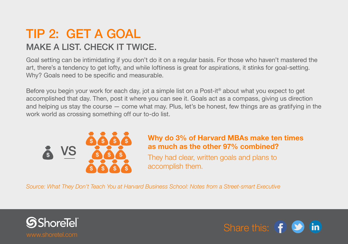#### TIP 2: GET A GOAL MAKE A LIST. CHECK IT TWICE.

Goal setting can be intimidating if you don't do it on a regular basis. For those who haven't mastered the art, there's a tendency to get lofty, and while loftiness is great for aspirations, it stinks for goal-setting. Why? Goals need to be specific and measurable.

Before you begin your work for each day, jot a simple list on a Post-it® about what you expect to get accomplished that day. Then, post it where you can see it. Goals act as a compass, giving us direction and helping us stay the course — come what may. Plus, let's be honest, few things are as gratifying in the work world as crossing something off our to-do list.



#### **Why do 3% of Harvard MBAs make ten times as much as the other 97% combined?**

They had clear, written goals and plans to accomplish them.

*Source: [What They Don't Teach You at Harvard Business School: Notes from a Street-smart Executive](http://www.amazon.com/exec/obidos/ASIN/0553345834/purchase-items-20)* **\$ \$ \$**



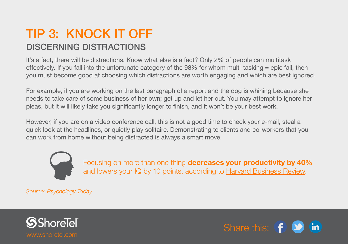#### TIP 3: KNOCK IT OFF DISCERNING DISTRACTIONS

It's a fact, there will be distractions. Know what else is a fact? Only 2% of people can multitask effectively. If you fall into the unfortunate category of the 98% for whom multi-tasking = epic fail, then you must become good at choosing which distractions are worth engaging and which are best ignored.

For example, if you are working on the last paragraph of a report and the dog is whining because she needs to take care of some business of her own; get up and let her out. You may attempt to ignore her pleas, but it will likely take you significantly longer to finish, and it won't be your best work.

However, if you are on a video conference call, this is not a good time to check your e-mail, steal a quick look at the headlines, or quietly play solitaire. Demonstrating to clients and co-workers that you can work from home without being distracted is always a smart move.



Focusing on more than one thing **decreases your productivity by 40%**  and lowers your IQ by 10 points, according to Harvard Business Review.

*Source: [Psychology Today](https://www.psychologytoday.com/blog/brain-trust/201202/is-your-brain-multitasking)*



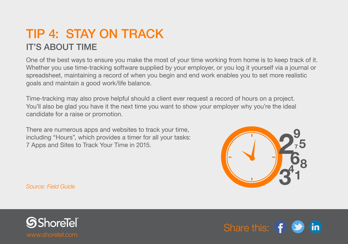#### TIP 4: STAY ON TRACK IT'S ABOUT TIME

One of the best ways to ensure you make the most of your time working from home is to keep track of it. Whether you use time-tracking software supplied by your employer, or you log it yourself via a journal or spreadsheet, maintaining a record of when you begin and end work enables you to set more realistic goals and maintain a good work/life balance.

Time-tracking may also prove helpful should a client ever request a record of hours on a project. You'll also be glad you have it the next time you want to show your employer why you're the ideal candidate for a raise or promotion.

There are numerous apps and websites to track your time, including "Hours", which provides a timer for all your tasks: 7 Apps and Sites to Track Your Time in 2015.



*Source: [Field Guide](http://fieldguide.gizmodo.com/7-apps-and-sites-to-track-your-time-in-2015-1677057680)*



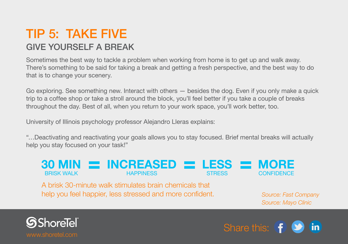#### TIP 5: TAKE FIVE GIVE YOURSELF A BREAK

Sometimes the best way to tackle a problem when working from home is to get up and walk away. There's something to be said for taking a break and getting a fresh perspective, and the best way to do that is to change your scenery.

Go exploring. See something new. Interact with others — besides the dog. Even if you only make a quick trip to a coffee shop or take a stroll around the block, you'll feel better if you take a couple of breaks throughout the day. Best of all, when you return to your work space, you'll work better, too.

University of Illinois psychology professor Alejandro Lleras explains:

"…Deactivating and reactivating your goals allows you to stay focused. Brief mental breaks will actually help you stay focused on your task!"



A brisk 30-minute walk stimulates brain chemicals that help you feel happier, less stressed and more confident.

*Source: [Fast Company](http://www.fastcompany.com/3034928/the-future-of-work/why-you-need-to-stop-thinking-you-are-too-busy-to-take-breaks) Source: [Mayo Clinic](http://www.mayoclinic.org/healthy-lifestyle/fitness/in-depth/exercise/art-20048389)*



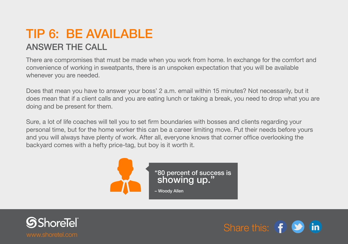#### TIP 6: BE AVAILABLE ANSWER THE CALL

There are compromises that must be made when you work from home. In exchange for the comfort and convenience of working in sweatpants, there is an unspoken expectation that you will be available whenever you are needed.

Does that mean you have to answer your boss' 2 a.m. email within 15 minutes? Not necessarily, but it does mean that if a client calls and you are eating lunch or taking a break, you need to drop what you are doing and be present for them.

Sure, a lot of life coaches will tell you to set firm boundaries with bosses and clients regarding your personal time, but for the home worker this can be a career limiting move. Put their needs before yours and you will always have plenty of work. After all, everyone knows that corner office overlooking the backyard comes with a hefty price-tag, but boy is it worth it.





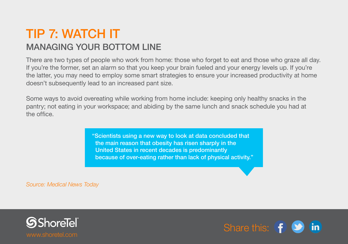#### TIP 7: WATCH IT MANAGING YOUR BOTTOM LINE

There are two types of people who work from home: those who forget to eat and those who graze all day. If you're the former, set an alarm so that you keep your brain fueled and your energy levels up. If you're the latter, you may need to employ some smart strategies to ensure your increased productivity at home doesn't subsequently lead to an increased pant size.

Some ways to avoid overeating while working from home include: keeping only healthy snacks in the pantry; not eating in your workspace; and abiding by the same lunch and snack schedule you had at the office.

> "Scientists using a new way to look at data concluded that the main reason that obesity has risen sharply in the United States in recent decades is predominantly because of over-eating rather than lack of physical activity."

*Source: [Medical News Today](http://www.medicalnewstoday.com/articles/149553.php)*



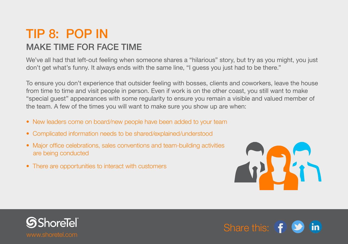#### TIP 8: POP IN MAKE TIME FOR FACE TIME

We've all had that left-out feeling when someone shares a "hilarious" story, but try as you might, you just don't get what's funny. It always ends with the same line, "I guess you just had to be there."

To ensure you don't experience that outsider feeling with bosses, clients and coworkers, leave the house from time to time and visit people in person. Even if work is on the other coast, you still want to make "special guest" appearances with some regularity to ensure you remain a visible and valued member of the team. A few of the times you will want to make sure you show up are when:

- New leaders come on board/new people have been added to your team
- Complicated information needs to be shared/explained/understood
- Major office celebrations, sales conventions and team-building activities are being conducted
- There are opportunities to interact with customers